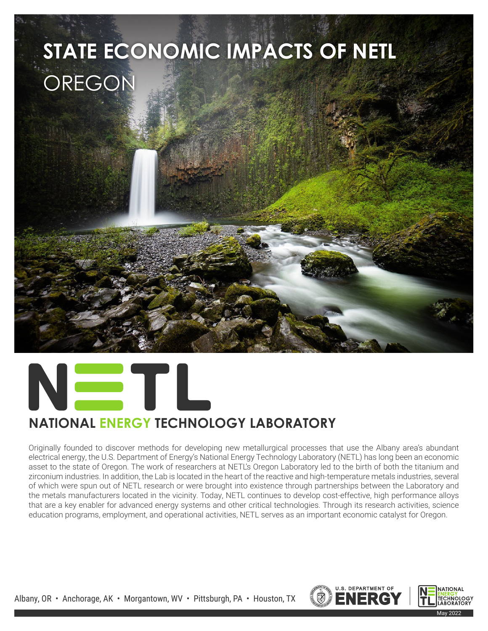



## **NATIONAL ENERGY TECHNOLOGY LABORATORY**

Originally founded to discover methods for developing new metallurgical processes that use the Albany area's abundant electrical energy, the U.S. Department of Energy's National Energy Technology Laboratory (NETL) has long been an economic asset to the state of Oregon. The work of researchers at NETL's Oregon Laboratory led to the birth of both the titanium and zirconium industries. In addition, the Lab is located in the heart of the reactive and high-temperature metals industries, several of which were spun out of NETL research or were brought into existence through partnerships between the Laboratory and the metals manufacturers located in the vicinity. Today, NETL continues to develop cost-effective, high performance alloys that are a key enabler for advanced energy systems and other critical technologies. Through its research activities, science education programs, employment, and operational activities, NETL serves as an important economic catalyst for Oregon.